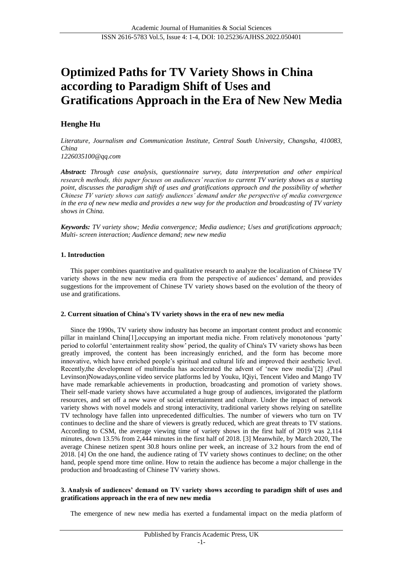# **Optimized Paths for TV Variety Shows in China according to Paradigm Shift of Uses and Gratifications Approach in the Era of New New Media**

# **Henghe Hu**

*Literature, Journalism and Communication Institute, Central South University, Changsha, 410083, China 1226035100@qq.com*

*Abstract: Through case analysis, questionnaire survey, data interpretation and other empirical research methods, this paper focuses on audiences' reaction to current TV variety shows as a starting point, discusses the paradigm shift of uses and gratifications approach and the possibility of whether Chinese TV variety shows can satisfy audiences' demand under the perspective of media convergence in the era of new new media and provides a new way for the production and broadcasting of TV variety shows in China.*

*Keywords: TV variety show; Media convergence; Media audience; Uses and gratifications approach; Multi- screen interaction; Audience demand; new new media*

## **1. Introduction**

This paper combines quantitative and qualitative research to analyze the localization of Chinese TV variety shows in the new new media era from the perspective of audiences' demand, and provides suggestions for the improvement of Chinese TV variety shows based on the evolution of the theory of use and gratifications.

## **2. Current situation of China's TV variety shows in the era of new new media**

Since the 1990s, TV variety show industry has become an important content product and economic pillar in mainland China[1],occupying an important media niche. From relatively monotonous 'party' period to colorful 'entertainment reality show' period, the quality of China's TV variety shows has been greatly improved, the content has been increasingly enriched, and the form has become more innovative, which have enriched people's spiritual and cultural life and improved their aesthetic level. Recently,the development of multimedia has accelerated the advent of 'new new media'[2] .(Paul Levinson)Nowadays,online video service platforms led by Youku, IQiyi, Tencent Video and Mango TV have made remarkable achievements in production, broadcasting and promotion of variety shows. Their self-made variety shows have accumulated a huge group of audiences, invigorated the platform resources, and set off a new wave of social entertainment and culture. Under the impact of network variety shows with novel models and strong interactivity, traditional variety shows relying on satellite TV technology have fallen into unprecedented difficulties. The number of viewers who turn on TV continues to decline and the share of viewers is greatly reduced, which are great threats to TV stations. According to CSM, the average viewing time of variety shows in the first half of 2019 was 2,114 minutes, down 13.5% from 2,444 minutes in the first half of 2018. [3] Meanwhile, by March 2020, The average Chinese netizen spent 30.8 hours online per week, an increase of 3.2 hours from the end of 2018. [4] On the one hand, the audience rating of TV variety shows continues to decline; on the other hand, people spend more time online. How to retain the audience has become a major challenge in the production and broadcasting of Chinese TV variety shows.

## **3. Analysis of audiences' demand on TV variety shows according to paradigm shift of uses and gratifications approach in the era of new new media**

The emergence of new new media has exerted a fundamental impact on the media platform of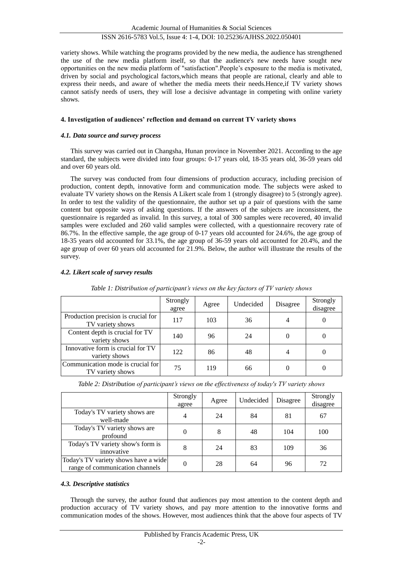## ISSN 2616-5783 Vol.5, Issue 4: 1-4, DOI: 10.25236/AJHSS.2022.050401

variety shows. While watching the programs provided by the new media, the audience has strengthened the use of the new media platform itself, so that the audience's new needs have sought new opportunities on the new media platform of "satisfaction".People's exposure to the media is motivated, driven by social and psychological factors,which means that people are rational, clearly and able to express their needs, and aware of whether the media meets their needs.Hence,if TV variety shows cannot satisfy needs of users, they will lose a decisive advantage in competing with online variety shows.

## **4. Investigation of audiences' reflection and demand on current TV variety shows**

## *4.1. Data source and survey process*

This survey was carried out in Changsha, Hunan province in November 2021. According to the age standard, the subjects were divided into four groups: 0-17 years old, 18-35 years old, 36-59 years old and over 60 years old.

The survey was conducted from four dimensions of production accuracy, including precision of production, content depth, innovative form and communication mode. The subjects were asked to evaluate TV variety shows on the Rensis A Likert scale from 1 (strongly disagree) to 5 (strongly agree). In order to test the validity of the questionnaire, the author set up a pair of questions with the same content but opposite ways of asking questions. If the answers of the subjects are inconsistent, the questionnaire is regarded as invalid. In this survey, a total of 300 samples were recovered, 40 invalid samples were excluded and 260 valid samples were collected, with a questionnaire recovery rate of 86.7%. In the effective sample, the age group of 0-17 years old accounted for 24.6%, the age group of 18-35 years old accounted for 33.1%, the age group of 36-59 years old accounted for 20.4%, and the age group of over 60 years old accounted for 21.9%. Below, the author will illustrate the results of the survey.

## *4.2. Likert scale of survey results*

|                                                         | Strongly<br>agree | Agree | Undecided | Disagree | Strongly<br>disagree |
|---------------------------------------------------------|-------------------|-------|-----------|----------|----------------------|
| Production precision is crucial for<br>TV variety shows | 117               | 103   | 36        | 4        |                      |
| Content depth is crucial for TV<br>variety shows        | 140               | 96    | 24        |          |                      |
| Innovative form is crucial for TV<br>variety shows      | 122               | 86    | 48        | 4        |                      |
| Communication mode is crucial for<br>TV variety shows   | 75                | 119   | 66        |          |                      |

*Table 1: Distribution of participant's views on the key factors of TV variety shows*

*Table 2: Distribution of participant's views on the effectiveness of today's TV variety shows*

|                                                                         | Strongly<br>agree | Agree | Undecided | Disagree | Strongly<br>disagree |
|-------------------------------------------------------------------------|-------------------|-------|-----------|----------|----------------------|
| Today's TV variety shows are<br>well-made                               | $\overline{4}$    | 24    | 84        | 81       | 67                   |
| Today's TV variety shows are<br>profound                                | $\Omega$          | 8     | 48        | 104      | 100                  |
| Today's TV variety show's form is<br>innovative                         | 8                 | 24    | 83        | 109      | 36                   |
| Today's TV variety shows have a wide<br>range of communication channels | $\Omega$          | 28    | 64        | 96       | 72                   |

## *4.3. Descriptive statistics*

Through the survey, the author found that audiences pay most attention to the content depth and production accuracy of TV variety shows, and pay more attention to the innovative forms and communication modes of the shows. However, most audiences think that the above four aspects of TV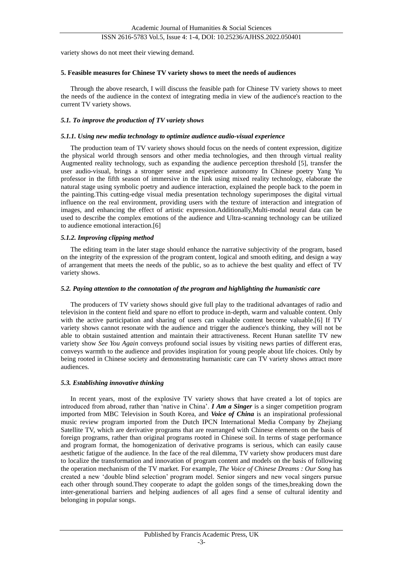### ISSN 2616-5783 Vol.5, Issue 4: 1-4, DOI: 10.25236/AJHSS.2022.050401

variety shows do not meet their viewing demand.

#### **5. Feasible measures for Chinese TV variety shows to meet the needs of audiences**

Through the above research, I will discuss the feasible path for Chinese TV variety shows to meet the needs of the audience in the context of integrating media in view of the audience's reaction to the current TV variety shows.

#### *5.1. To improve the production of TV variety shows*

#### *5.1.1. Using new media technology to optimize audience audio-visual experience*

The production team of TV variety shows should focus on the needs of content expression, digitize the physical world through sensors and other media technologies, and then through virtual reality Augmented reality technology, such as expanding the audience perception threshold [5], transfer the user audio-visual, brings a stronger sense and experience autonomy In Chinese poetry Yang Yu professor in the fifth season of immersive in the link using mixed reality technology, elaborate the natural stage using symbolic poetry and audience interaction, explained the people back to the poem in the painting.This cutting-edge visual media presentation technology superimposes the digital virtual influence on the real environment, providing users with the texture of interaction and integration of images, and enhancing the effect of artistic expression.Additionally,Multi-modal neural data can be used to describe the complex emotions of the audience and Ultra-scanning technology can be utilized to audience emotional interaction.[6]

#### *5.1.2. Improving clipping method*

The editing team in the later stage should enhance the narrative subjectivity of the program, based on the integrity of the expression of the program content, logical and smooth editing, and design a way of arrangement that meets the needs of the public, so as to achieve the best quality and effect of TV variety shows.

#### *5.2. Paying attention to the connotation of the program and highlighting the humanistic care*

The producers of TV variety shows should give full play to the traditional advantages of radio and television in the content field and spare no effort to produce in-depth, warm and valuable content. Only with the active participation and sharing of users can valuable content become valuable.[6] If TV variety shows cannot resonate with the audience and trigger the audience's thinking, they will not be able to obtain sustained attention and maintain their attractiveness. Recent Hunan satellite TV new variety show *See You Again* conveys profound social issues by visiting news parties of different eras, conveys warmth to the audience and provides inspiration for young people about life choices. Only by being rooted in Chinese society and demonstrating humanistic care can TV variety shows attract more audiences.

#### *5.3. Establishing innovative thinking*

In recent years, most of the explosive TV variety shows that have created a lot of topics are introduced from abroad, rather than 'native in China'. *I Am a Singer* is a singer competition program imported from MBC Television in South Korea, and *Voice of China* is an inspirational professional music review program imported from the Dutch IPCN International Media Company by Zhejiang Satellite TV, which are derivative programs that are rearranged with Chinese elements on the basis of foreign programs, rather than original programs rooted in Chinese soil. In terms of stage performance and program format, the homogenization of derivative programs is serious, which can easily cause aesthetic fatigue of the audience. In the face of the real dilemma, TV variety show producers must dare to localize the transformation and innovation of program content and models on the basis of following the operation mechanism of the TV market. For example, *The Voice of Chinese Dreams : Our Song* has created a new 'double blind selection' program model. Senior singers and new vocal singers pursue each other through sound.They cooperate to adapt the golden songs of the times,breaking down the inter-generational barriers and helping audiences of all ages find a sense of cultural identity and belonging in popular songs.